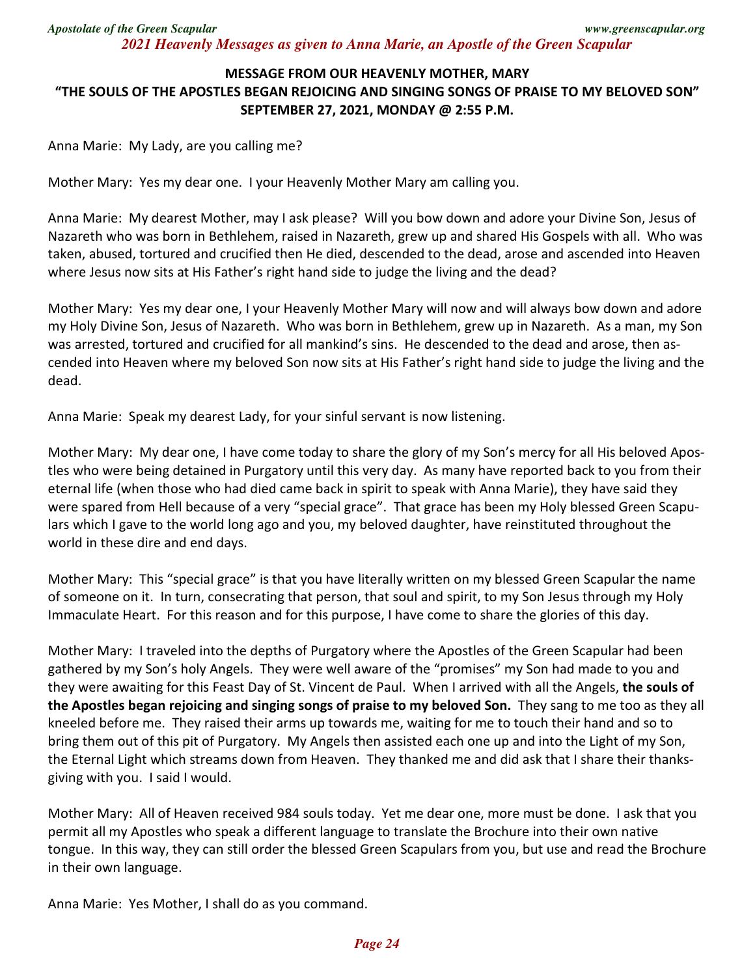*Apostolate of the Green Scapular www.greenscapular.org 2021 Heavenly Messages as given to Anna Marie, an Apostle of the Green Scapular* 

## **MESSAGE FROM OUR HEAVENLY MOTHER, MARY "THE SOULS OF THE APOSTLES BEGAN REJOICING AND SINGING SONGS OF PRAISE TO MY BELOVED SON" SEPTEMBER 27, 2021, MONDAY @ 2:55 P.M.**

Anna Marie: My Lady, are you calling me?

Mother Mary: Yes my dear one. I your Heavenly Mother Mary am calling you.

Anna Marie: My dearest Mother, may I ask please? Will you bow down and adore your Divine Son, Jesus of Nazareth who was born in Bethlehem, raised in Nazareth, grew up and shared His Gospels with all. Who was taken, abused, tortured and crucified then He died, descended to the dead, arose and ascended into Heaven where Jesus now sits at His Father's right hand side to judge the living and the dead?

Mother Mary: Yes my dear one, I your Heavenly Mother Mary will now and will always bow down and adore my Holy Divine Son, Jesus of Nazareth. Who was born in Bethlehem, grew up in Nazareth. As a man, my Son was arrested, tortured and crucified for all mankind's sins. He descended to the dead and arose, then ascended into Heaven where my beloved Son now sits at His Father's right hand side to judge the living and the dead.

Anna Marie: Speak my dearest Lady, for your sinful servant is now listening.

Mother Mary: My dear one, I have come today to share the glory of my Son's mercy for all His beloved Apostles who were being detained in Purgatory until this very day. As many have reported back to you from their eternal life (when those who had died came back in spirit to speak with Anna Marie), they have said they were spared from Hell because of a very "special grace". That grace has been my Holy blessed Green Scapulars which I gave to the world long ago and you, my beloved daughter, have reinstituted throughout the world in these dire and end days.

Mother Mary: This "special grace" is that you have literally written on my blessed Green Scapular the name of someone on it. In turn, consecrating that person, that soul and spirit, to my Son Jesus through my Holy Immaculate Heart. For this reason and for this purpose, I have come to share the glories of this day.

Mother Mary: I traveled into the depths of Purgatory where the Apostles of the Green Scapular had been gathered by my Son's holy Angels. They were well aware of the "promises" my Son had made to you and they were awaiting for this Feast Day of St. Vincent de Paul. When I arrived with all the Angels, **the souls of the Apostles began rejoicing and singing songs of praise to my beloved Son.** They sang to me too as they all kneeled before me. They raised their arms up towards me, waiting for me to touch their hand and so to bring them out of this pit of Purgatory. My Angels then assisted each one up and into the Light of my Son, the Eternal Light which streams down from Heaven. They thanked me and did ask that I share their thanksgiving with you. I said I would.

Mother Mary: All of Heaven received 984 souls today. Yet me dear one, more must be done. I ask that you permit all my Apostles who speak a different language to translate the Brochure into their own native tongue. In this way, they can still order the blessed Green Scapulars from you, but use and read the Brochure in their own language.

Anna Marie: Yes Mother, I shall do as you command.